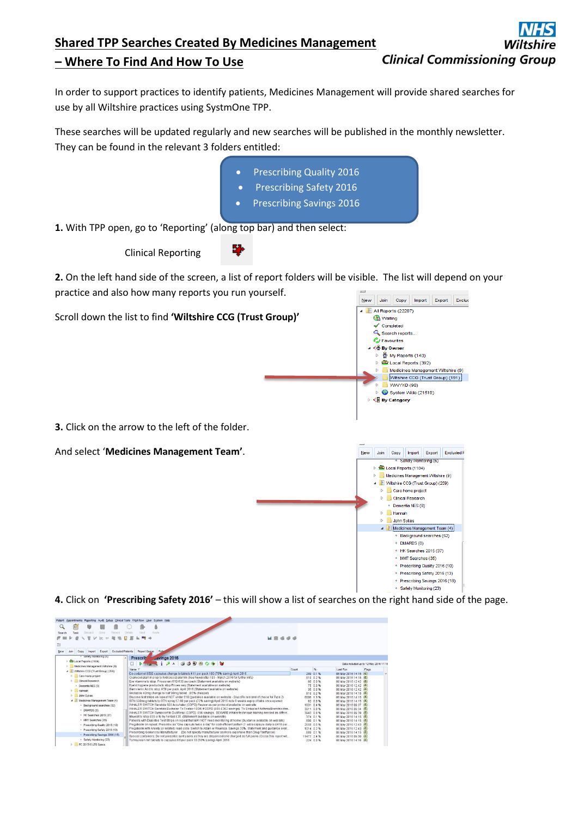## **Shared TPP Searches Created By Medicines Management Clinical Commissioning Group – Where To Find And How To Use**

In order to support practices to identify patients, Medicines Management will provide shared searches for use by all Wiltshire practices using SystmOne TPP.

These searches will be updated regularly and new searches will be published in the monthly newsletter. They can be found in the relevant 3 folders entitled:

- Prescribing Quality 2016 • Prescribing Safety 2016
- Prescribing Savings 2016

**1.** With TPP open, go to 'Reporting' (along top bar) and then select:

Clinical Reporting

**2.** On the left hand side of the screen, a list of report folders will be visible. The list will depend on your practice and also how many reports you run yourself. New Join Copy Import Export Exclude



**4.** Click on **'Prescribing Safety 2016'** – this will show a list of searches on the right hand side of the page.

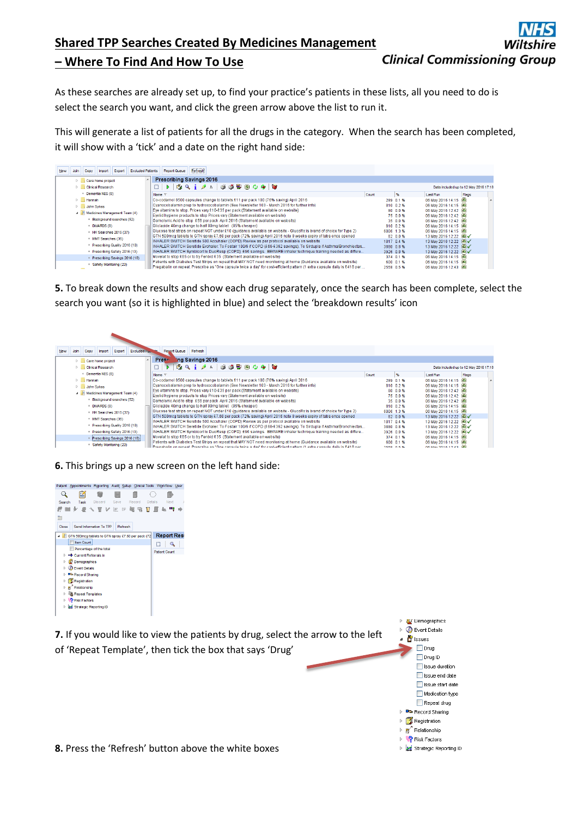## **Shared TPP Searches Created By Medicines Management Clinical Commissioning Group – Where To Find And How To Use**

As these searches are already set up, to find your practice's patients in these lists, all you need to do is select the search you want, and click the green arrow above the list to run it.

This will generate a list of patients for all the drugs in the category. When the search has been completed, it will show with a 'tick' and a date on the right hand side:

| New | Join                          | Copy                      | Import                                            | Export                                                                       | <b>Excluded Patients</b>                                                            | <b>Report Queue</b>                                                                                                        | <br>Refresh |  |  |          |                      |                         |                                       |       |  |
|-----|-------------------------------|---------------------------|---------------------------------------------------|------------------------------------------------------------------------------|-------------------------------------------------------------------------------------|----------------------------------------------------------------------------------------------------------------------------|-------------|--|--|----------|----------------------|-------------------------|---------------------------------------|-------|--|
|     |                               |                           | $\triangleright$ $\blacksquare$ Care home project |                                                                              |                                                                                     | <b>Prescribing Savings 2016</b>                                                                                            |             |  |  |          |                      |                         |                                       |       |  |
|     |                               |                           | $\triangleright$ Clinical Research                |                                                                              |                                                                                     | D B Q i 2 A S S B ® O O O I                                                                                                |             |  |  |          |                      |                         | Data included up to 12 May 2016 17:18 |       |  |
|     |                               |                           | + Dementia NES (8)                                |                                                                              |                                                                                     | Name \                                                                                                                     |             |  |  |          | Count                | %                       | Last Run                              | Flags |  |
|     |                               | $\triangleright$   Hannah |                                                   |                                                                              |                                                                                     | Co-codamol 8500 capsules change to tablets £11 per pack 100 (76% saving) April 2016                                        |             |  |  |          |                      | 289 0.1 %               | 06 May 2016 14:15 (60)                |       |  |
|     |                               | <b>D</b> John Sykes       |                                                   |                                                                              |                                                                                     | Cvanocobalamin prep to hydroxocobalamin (See Newsletter 103 - March 2016 for further info)                                 |             |  |  |          |                      | 810 0.2 %               | 06 May 2016 14:15 (60)                |       |  |
|     | Medicines Management Team (4) |                           |                                                   |                                                                              | Eye vitamins to stop. Prices vary £10-£35 per pack (Statement available on website) |                                                                                                                            |             |  |  |          | 80 0.0 %             | 06 May 2016 12:42 (fil) |                                       |       |  |
|     | Background searches (52)      |                           |                                                   | Eyelid hygiene products to stop Prices vary (Statement available on website) |                                                                                     |                                                                                                                            |             |  |  | 75 0.0 % | 06 May 2016 12:42 69 |                         |                                       |       |  |
|     |                               |                           |                                                   |                                                                              |                                                                                     | Gamolenic Acid to stop £58 per pack April 2016 (Statement available on website)                                            |             |  |  |          |                      | 35 0.0 %                | 06 May 2016 12:42 69                  |       |  |
|     |                               |                           | · DMARDS (8)                                      |                                                                              |                                                                                     | Gliclazide 40mg change to half 80mg tablet (85% cheaper)                                                                   |             |  |  |          |                      | 810 0.2%                | 06 May 2016 14:15 69                  |       |  |
|     |                               |                           | + HK Searches 2015 (37)                           |                                                                              |                                                                                     | Glucose test strips on repeat NOT under £10 (quidance available on website - GlucoRx is brand of choice for Type 2)        |             |  |  |          |                      | 6006 1.3%               | 06 May 2016 14:15 60                  |       |  |
|     |                               |                           | * MMT Searches (35)                               |                                                                              |                                                                                     | GTN 500mcg tablets to GTN spray £7.60 per pack (72% saving) April 2016 note 8 weeks expiry of tabs once opened             |             |  |  |          |                      | 82 0.0 %                | 13 May 2016 12:22 60                  |       |  |
|     |                               |                           |                                                   |                                                                              |                                                                                     | INHALER SWITCH Seretide 500 Accuhaler (COPD) Review as per protocol available on website                                   |             |  |  |          |                      | 1817 0.4 %              | 13 May 2016 12:22 69                  |       |  |
|     |                               |                           | Prescribing Quality 2016 (10)                     |                                                                              |                                                                                     | INHALER SWITCH Seretide Evohaler: To Fostair 100/6 if COPD (£68-£362 savings). To Sirdupla if Asthma/Bronchiectas          |             |  |  |          |                      | 3880 0.8 %              | 13 May 2016 12:22 69                  |       |  |
|     |                               |                           | Prescribing Safety 2016 (13)                      |                                                                              |                                                                                     | INHALER SWITCH Symbicort to DuoResp (COPD) £96 savings. BEWARE inhaler technique training needed as differe                |             |  |  |          |                      | 3926 0.8 %              | 13 May 2016 12:22 69√                 |       |  |
|     |                               |                           | Prescribing Savings 2016 (18)                     |                                                                              |                                                                                     | Movelat to stop £85 or to try Fenbid £35 (Statement available on website)                                                  |             |  |  |          |                      | 374 0.1 %               | 06 May 2016 14:15 (6)                 |       |  |
|     |                               |                           | Safety Monitoring (23)                            |                                                                              |                                                                                     | Patients with Diabetes Test Strips on repeat that MAY NOT need monitoring at home (Guidance available on website)          |             |  |  |          |                      | 600 0.1 %               | 06 May 2016 14:15 69                  |       |  |
|     |                               |                           |                                                   |                                                                              |                                                                                     | Pregabalin on repeat. Prescribe as "One capsule twice a day" for cost-efficient pattern (1 extra capsule daily is £418 per |             |  |  |          |                      | 2558 0.5 %              | 06 May 2016 12:43 69                  |       |  |

**5.** To break down the results and show each drug separately, once the search has been complete, select the search you want (so it is highlighted in blue) and select the 'breakdown results' icon

| New<br><b>Excluded Page</b><br>Export<br>Import<br>Join<br>Copy | <b>Report Queue</b><br>Refresh                                                                                            |       |            |                         |                                       |
|-----------------------------------------------------------------|---------------------------------------------------------------------------------------------------------------------------|-------|------------|-------------------------|---------------------------------------|
| Care home project                                               | Prese-<br>ing Savings 2016                                                                                                |       |            |                         |                                       |
| <b>D</b> Clinical Research                                      | <b>64 Q i / A 35 B @ 0 0 1 0</b><br>D.                                                                                    |       |            |                         | Data included up to 12 May 2016 17:18 |
| + Dementia NES (8)                                              | Name $\nabla$                                                                                                             | Count | %          | <b>Last Run</b>         | Flags                                 |
| $\triangleright$   Hannah                                       | Co-codamol 8500 capsules change to tablets £11 per pack 100 (76% saving) April 2016                                       |       | 289 0.1 %  | 06 May 2016 14:15 (6)   |                                       |
| <b>D</b> John Sykes                                             | Cyanocobalamin prep to hydroxocobalamin (See Newsletter 103 - March 2016 for further info)                                |       | 810 0.2 %  | 06 May 2016 14:15 (6)   |                                       |
| Medicines Management Team (4)                                   | Eye vitamins to stop. Prices vary £10-£35 per pack (Statement available on website)                                       |       | 80 0.0 %   | 06 May 2016 12:42 69    |                                       |
|                                                                 | Evelid hygiene products to stop Prices vary (Statement available on website)                                              |       | 75 0.0 %   | 06 May 2016 12:42 (60)  |                                       |
| Background searches (52)                                        | Gamolenic Acid to stop £58 per pack April 2016 (Statement available on website)                                           |       | 35 0.0 %   | 06 May 2016 12:42 60    |                                       |
| * DMARDS (8)                                                    | Gliclazide 40mg change to half 80mg tablet (85% cheaper)                                                                  |       | 810 0.2%   | 06 May 2016 14:15 (60)  |                                       |
| + HK Searches 2015 (37)                                         | Glucose test strips on repeat NOT under £10 (quidance available on website - GlucoRx is brand of choice for Type 2)       |       | 6006 1.3%  | 06 May 2016 14:15 (6)   |                                       |
| MMT Searches (35)                                               | GTN 500mcg tablets to GTN spray £7.60 per pack (72% saving) April 2016 note 8 weeks expiry of tabs once opened            |       | 82 0.0 %   | 13 May 2016 12:22 69    |                                       |
|                                                                 | INHALER SWITCH Seretide 500 Accuhaler (COPD) Review as per protocol available on website                                  |       | 1817 04%   | 13 May 2016 12:22 69    |                                       |
| Prescribing Quality 2016 (10)                                   | INHALER SWITCH Seretide Evohaler: To Fostair 100/6 if COPD (£68-£362 savings). To Sirdupla if Asthma/Bronchiectas         |       | 3880 0.8 % | 13 May 2016 12:22 69    |                                       |
| Prescribing Safety 2016 (13)                                    | INHALER SWITCH Symbicort to DuoResp (COPD) £96 savings. BEWARE inhaler technique training needed as differe               |       | 3926 0.8 % | 13 May 2016 12:22 (60)√ |                                       |
| Prescribing Savings 2016 (18)                                   | Movelat to stop £85 or to try Fenbid £35 (Statement available on website)                                                 |       | 374 0.1 %  | 06 May 2016 14:15 (60)  |                                       |
|                                                                 | Patients with Diabetes Test Strips on repeat that MAY NOT need monitoring at home (Guidance available on website)         |       | 600 0.1 %  | 06 May 2016 14:15 (60)  |                                       |
| Safety Monitoring (23)                                          | Pronghalin on reneat Proceribe as "One cancule twice a day" for cost-efficient nattern (1 extra cancule daily is £418 ner |       | 2558 0.5%  | 06 May 2016 12:43 (6)   |                                       |

**6.** This brings up a new screen on the left hand side: